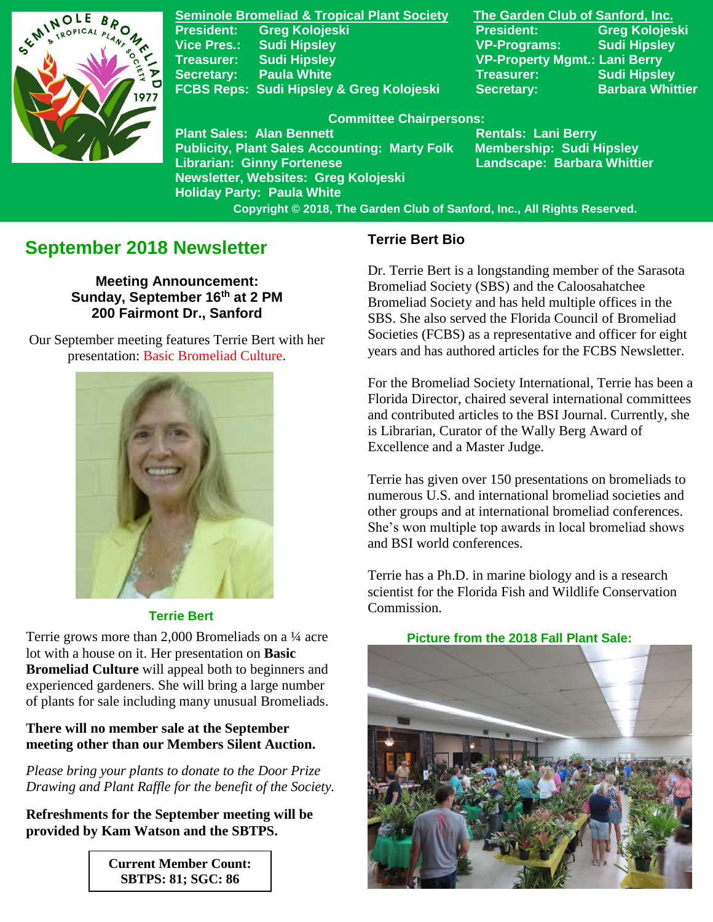

**Seminole Bromeliad & Tropical Plant Society The Garden Club of Sanford, Inc. President: Greg Kolojeski President: Greg Kolojeski Vice Pres.: Sudi Hipsley VP-Programs: Sudi Hipsley Treasurer: Sudi Hipsley VP-Property Mgmt.: Lani Berry Secretary:** Paula White **Network Secretary:** Sudi Hipsley FCBS Reps: Sudi Hipsley & Greg Kolojeski Secretary: Barbara Whittier

#### **Committee Chairpersons:**

**Plant Sales: Alan Bennett** Rentals: Lani Berry **Publicity, Plant Sales Accounting: Marty Folk Membership: Sudi Hipsley Librarian: Ginny Fortenese Landscape: Barbara Whittier Newsletter, Websites: Greg Kolojeski Holiday Party: Paula White** 

 **Copyright © 2018, The Garden Club of Sanford, Inc., All Rights Reserved.**

# **September 2018 Newsletter**

**Meeting Announcement: Sunday, September 16th at 2 PM 200 Fairmont Dr., Sanford**

Our September meeting features Terrie Bert with her presentation: Basic Bromeliad Culture.



#### **Terrie Bert**

Terrie grows more than 2,000 Bromeliads on a ¼ acre **Picture from the 2018 Fall Plant Sale:** lot with a house on it. Her presentation on **Basic Bromeliad Culture** will appeal both to beginners and experienced gardeners. She will bring a large number of plants for sale including many unusual Bromeliads.

### **There will no member sale at the September meeting other than our Members Silent Auction.**

*Please bring your plants to donate to the Door Prize Drawing and Plant Raffle for the benefit of the Society.* 

**Refreshments for the September meeting will be provided by Kam Watson and the SBTPS.**

> **Current Member Count: SBTPS: 81; SGC: 86**

## **Terrie Bert Bio**

Dr. Terrie Bert is a longstanding member of the Sarasota Bromeliad Society (SBS) and the Caloosahatchee Bromeliad Society and has held multiple offices in the SBS. She also served the Florida Council of Bromeliad Societies (FCBS) as a representative and officer for eight years and has authored articles for the FCBS Newsletter.

For the Bromeliad Society International, Terrie has been a Florida Director, chaired several international committees and contributed articles to the BSI Journal. Currently, she is Librarian, Curator of the Wally Berg Award of Excellence and a Master Judge.

Terrie has given over 150 presentations on bromeliads to numerous U.S. and international bromeliad societies and other groups and at international bromeliad conferences. She's won multiple top awards in local bromeliad shows and BSI world conferences.

Terrie has a Ph.D. in marine biology and is a research scientist for the Florida Fish and Wildlife Conservation Commission.